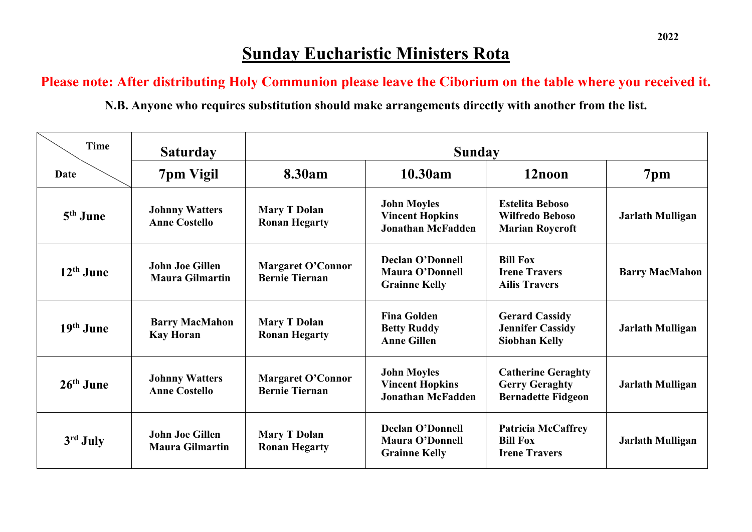## **Sunday Eucharistic Ministers Rota**

**Please note: After distributing Holy Communion please leave the Ciborium on the table where you received it.**

**N.B. Anyone who requires substitution should make arrangements directly with another from the list.**

| <b>Time</b> | <b>Saturday</b>                                  | <b>Sunday</b>                                     |                                                                           |                                                                                 |                         |
|-------------|--------------------------------------------------|---------------------------------------------------|---------------------------------------------------------------------------|---------------------------------------------------------------------------------|-------------------------|
| Date        | 7pm Vigil                                        | 8.30am                                            | 10.30am                                                                   | 12noon                                                                          | 7pm                     |
| $5th$ June  | <b>Johnny Watters</b><br><b>Anne Costello</b>    | <b>Mary T Dolan</b><br><b>Ronan Hegarty</b>       | <b>John Moyles</b><br><b>Vincent Hopkins</b><br><b>Jonathan McFadden</b>  | <b>Estelita Beboso</b><br><b>Wilfredo Beboso</b><br><b>Marian Roycroft</b>      | Jarlath Mulligan        |
| $12th$ June | <b>John Joe Gillen</b><br><b>Maura Gilmartin</b> | <b>Margaret O'Connor</b><br><b>Bernie Tiernan</b> | <b>Declan O'Donnell</b><br>Maura O'Donnell<br><b>Grainne Kelly</b>        | <b>Bill Fox</b><br><b>Irene Travers</b><br><b>Ailis Travers</b>                 | <b>Barry MacMahon</b>   |
| $19th$ June | <b>Barry MacMahon</b><br><b>Kay Horan</b>        | <b>Mary T Dolan</b><br><b>Ronan Hegarty</b>       | <b>Fina Golden</b><br><b>Betty Ruddy</b><br><b>Anne Gillen</b>            | <b>Gerard Cassidy</b><br><b>Jennifer Cassidy</b><br><b>Siobhan Kelly</b>        | <b>Jarlath Mulligan</b> |
| $26th$ June | <b>Johnny Watters</b><br><b>Anne Costello</b>    | <b>Margaret O'Connor</b><br><b>Bernie Tiernan</b> | <b>John Moyles</b><br><b>Vincent Hopkins</b><br><b>Jonathan McFadden</b>  | <b>Catherine Geraghty</b><br><b>Gerry Geraghty</b><br><b>Bernadette Fidgeon</b> | Jarlath Mulligan        |
| 3rd July    | <b>John Joe Gillen</b><br><b>Maura Gilmartin</b> | <b>Mary T Dolan</b><br><b>Ronan Hegarty</b>       | <b>Declan O'Donnell</b><br><b>Maura O'Donnell</b><br><b>Grainne Kelly</b> | <b>Patricia McCaffrey</b><br><b>Bill Fox</b><br><b>Irene Travers</b>            | Jarlath Mulligan        |